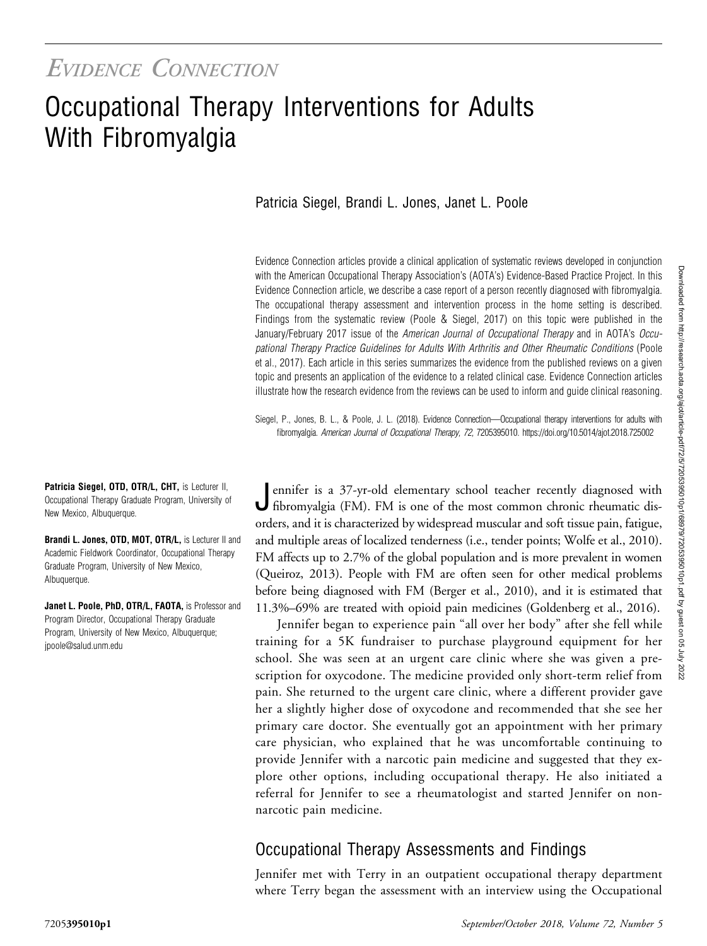# Occupational Therapy Interventions for Adults With Fibromyalgia

## Patricia Siegel, Brandi L. Jones, Janet L. Poole

Evidence Connection articles provide a clinical application of systematic reviews developed in conjunction with the American Occupational Therapy Association's (AOTA's) Evidence-Based Practice Project. In this Evidence Connection article, we describe a case report of a person recently diagnosed with fibromyalgia. The occupational therapy assessment and intervention process in the home setting is described. Findings from the systematic review (Poole & Siegel, 2017) on this topic were published in the January/February 2017 issue of the American Journal of Occupational Therapy and in AOTA's Occupational Therapy Practice Guidelines for Adults With Arthritis and Other Rheumatic Conditions (Poole et al., 2017). Each article in this series summarizes the evidence from the published reviews on a given topic and presents an application of the evidence to a related clinical case. Evidence Connection articles illustrate how the research evidence from the reviews can be used to inform and guide clinical reasoning.

Siegel, P., Jones, B. L., & Poole, J. L. (2018). Evidence Connection—Occupational therapy interventions for adults with fibromyalgia. American Journal of Occupational Therapy, 72, 7205395010.<https://doi.org/10.5014/ajot.2018.725002>

Patricia Siegel, OTD, OTR/L, CHT, is Lecturer II, Occupational Therapy Graduate Program, University of New Mexico, Albuquerque.

Brandi L. Jones, OTD, MOT, OTR/L, is Lecturer II and Academic Fieldwork Coordinator, Occupational Therapy Graduate Program, University of New Mexico, Albuquerque.

Janet L. Poole, PhD, OTR/L, FAOTA, is Professor and Program Director, Occupational Therapy Graduate Program, University of New Mexico, Albuquerque; [jpoole@salud.unm.edu](mailto:jpoole@salud.unm.edu)

Jennifer is a 37-yr-old elementary school teacher recently diagnosed with fibromyalgia (FM). FM is one of the most common chronic rheumatic disorders, and it is characterized by widespread muscular and soft tissue pain, fatigue, and multiple areas of localized tenderness (i.e., tender points; Wolfe et al., 2010). FM affects up to 2.7% of the global population and is more prevalent in women (Queiroz, 2013). People with FM are often seen for other medical problems before being diagnosed with FM (Berger et al., 2010), and it is estimated that 11.3%–69% are treated with opioid pain medicines (Goldenberg et al., 2016).

Jennifer began to experience pain "all over her body" after she fell while training for a 5K fundraiser to purchase playground equipment for her school. She was seen at an urgent care clinic where she was given a prescription for oxycodone. The medicine provided only short-term relief from pain. She returned to the urgent care clinic, where a different provider gave her a slightly higher dose of oxycodone and recommended that she see her primary care doctor. She eventually got an appointment with her primary care physician, who explained that he was uncomfortable continuing to provide Jennifer with a narcotic pain medicine and suggested that they explore other options, including occupational therapy. He also initiated a referral for Jennifer to see a rheumatologist and started Jennifer on nonnarcotic pain medicine.

# Occupational Therapy Assessments and Findings

Jennifer met with Terry in an outpatient occupational therapy department where Terry began the assessment with an interview using the Occupational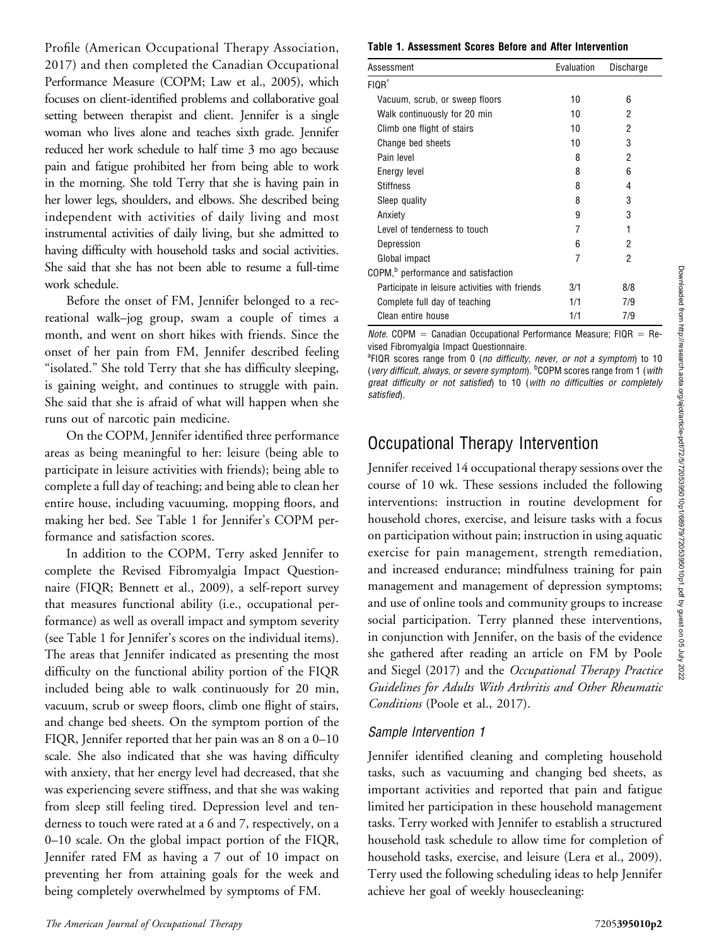Profile (American Occupational Therapy Association, 2017) and then completed the Canadian Occupational Performance Measure (COPM; Law et al., 2005), which focuses on client-identified problems and collaborative goal setting between therapist and client. Jennifer is a single woman who lives alone and teaches sixth grade. Jennifer reduced her work schedule to half time 3 mo ago because pain and fatigue prohibited her from being able to work in the morning. She told Terry that she is having pain in her lower legs, shoulders, and elbows. She described being independent with activities of daily living and most instrumental activities of daily living, but she admitted to having difficulty with household tasks and social activities. She said that she has not been able to resume a full-time work schedule.

Before the onset of FM, Jennifer belonged to a recreational walk–jog group, swam a couple of times a month, and went on short hikes with friends. Since the onset of her pain from FM, Jennifer described feeling "isolated." She told Terry that she has difficulty sleeping, is gaining weight, and continues to struggle with pain. She said that she is afraid of what will happen when she runs out of narcotic pain medicine.

On the COPM, Jennifer identified three performance areas as being meaningful to her: leisure (being able to participate in leisure activities with friends); being able to complete a full day of teaching; and being able to clean her entire house, including vacuuming, mopping floors, and making her bed. See Table 1 for Jennifer's COPM performance and satisfaction scores.

In addition to the COPM, Terry asked Jennifer to complete the Revised Fibromyalgia Impact Questionnaire (FIQR; Bennett et al., 2009), a self-report survey that measures functional ability (i.e., occupational performance) as well as overall impact and symptom severity (see Table 1 for Jennifer's scores on the individual items). The areas that Jennifer indicated as presenting the most difficulty on the functional ability portion of the FIQR included being able to walk continuously for 20 min, vacuum, scrub or sweep floors, climb one flight of stairs, and change bed sheets. On the symptom portion of the FIQR, Jennifer reported that her pain was an 8 on a 0–10 scale. She also indicated that she was having difficulty with anxiety, that her energy level had decreased, that she was experiencing severe stiffness, and that she was waking from sleep still feeling tired. Depression level and tenderness to touch were rated at a 6 and 7, respectively, on a 0–10 scale. On the global impact portion of the FIQR, Jennifer rated FM as having a 7 out of 10 impact on preventing her from attaining goals for the week and being completely overwhelmed by symptoms of FM.

Table 1. Assessment Scores Before and After Intervention

| Assessment                                      | Evaluation | Discharge |
|-------------------------------------------------|------------|-----------|
| FIQR <sup>a</sup>                               |            |           |
| Vacuum, scrub, or sweep floors                  | 10         | 6         |
| Walk continuously for 20 min                    | 10         | 2         |
| Climb one flight of stairs                      | 10         | 2         |
| Change bed sheets                               | 10         | 3         |
| Pain level                                      | 8          | 2         |
| Energy level                                    | 8          | 6         |
| <b>Stiffness</b>                                | 8          | 4         |
| Sleep quality                                   | 8          | 3         |
| Anxiety                                         | 9          | 3         |
| Level of tenderness to touch                    | 7          | 1         |
| Depression                                      | 6          | 2         |
| Global impact                                   | 7          | 2         |
| COPM, <sup>b</sup> performance and satisfaction |            |           |
| Participate in leisure activities with friends  | 3/1        | 8/8       |
| Complete full day of teaching                   | 1/1        | 7/9       |
| Clean entire house                              | 1/1        | 7/9       |

*Note.* COPM = Canadian Occupational Performance Measure; FIQR = Revised Fibromyalgia Impact Questionnaire.

<sup>a</sup>FIQR scores range from 0 (no difficulty, never, or not a symptom) to 10 (very difficult, always, or severe symptom). <sup>b</sup>COPM scores range from 1 (with great difficulty or not satisfied) to 10 (with no difficulties or completely satisfied).

# Occupational Therapy Intervention

Jennifer received 14 occupational therapy sessions over the course of 10 wk. These sessions included the following interventions: instruction in routine development for household chores, exercise, and leisure tasks with a focus on participation without pain; instruction in using aquatic exercise for pain management, strength remediation, and increased endurance; mindfulness training for pain management and management of depression symptoms; and use of online tools and community groups to increase social participation. Terry planned these interventions, in conjunction with Jennifer, on the basis of the evidence she gathered after reading an article on FM by Poole and Siegel (2017) and the Occupational Therapy Practice Guidelines for Adults With Arthritis and Other Rheumatic Conditions (Poole et al., 2017).

#### Sample Intervention 1

Jennifer identified cleaning and completing household tasks, such as vacuuming and changing bed sheets, as important activities and reported that pain and fatigue limited her participation in these household management tasks. Terry worked with Jennifer to establish a structured household task schedule to allow time for completion of household tasks, exercise, and leisure (Lera et al., 2009). Terry used the following scheduling ideas to help Jennifer achieve her goal of weekly housecleaning: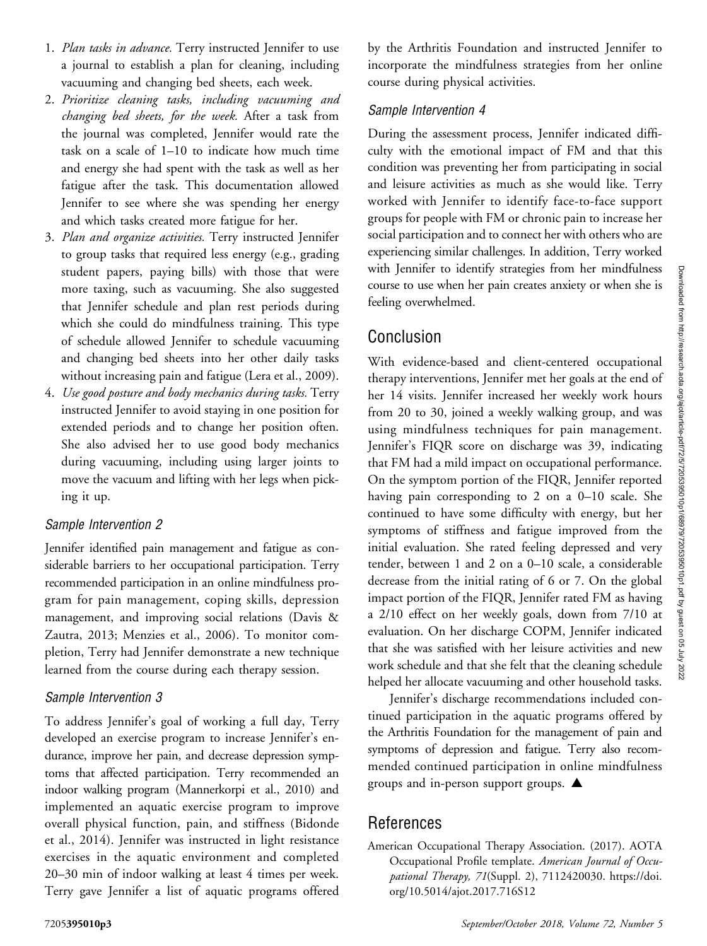- 1. Plan tasks in advance. Terry instructed Jennifer to use a journal to establish a plan for cleaning, including vacuuming and changing bed sheets, each week.
- 2. Prioritize cleaning tasks, including vacuuming and changing bed sheets, for the week. After a task from the journal was completed, Jennifer would rate the task on a scale of 1–10 to indicate how much time and energy she had spent with the task as well as her fatigue after the task. This documentation allowed Jennifer to see where she was spending her energy and which tasks created more fatigue for her.
- 3. Plan and organize activities. Terry instructed Jennifer to group tasks that required less energy (e.g., grading student papers, paying bills) with those that were more taxing, such as vacuuming. She also suggested that Jennifer schedule and plan rest periods during which she could do mindfulness training. This type of schedule allowed Jennifer to schedule vacuuming and changing bed sheets into her other daily tasks without increasing pain and fatigue (Lera et al., 2009).
- 4. Use good posture and body mechanics during tasks. Terry instructed Jennifer to avoid staying in one position for extended periods and to change her position often. She also advised her to use good body mechanics during vacuuming, including using larger joints to move the vacuum and lifting with her legs when picking it up.

#### Sample Intervention 2

Jennifer identified pain management and fatigue as considerable barriers to her occupational participation. Terry recommended participation in an online mindfulness program for pain management, coping skills, depression management, and improving social relations (Davis & Zautra, 2013; Menzies et al., 2006). To monitor completion, Terry had Jennifer demonstrate a new technique learned from the course during each therapy session.

#### Sample Intervention 3

To address Jennifer's goal of working a full day, Terry developed an exercise program to increase Jennifer's endurance, improve her pain, and decrease depression symptoms that affected participation. Terry recommended an indoor walking program (Mannerkorpi et al., 2010) and implemented an aquatic exercise program to improve overall physical function, pain, and stiffness (Bidonde et al., 2014). Jennifer was instructed in light resistance exercises in the aquatic environment and completed 20–30 min of indoor walking at least 4 times per week. Terry gave Jennifer a list of aquatic programs offered

by the Arthritis Foundation and instructed Jennifer to incorporate the mindfulness strategies from her online course during physical activities.

## Sample Intervention 4

During the assessment process, Jennifer indicated difficulty with the emotional impact of FM and that this condition was preventing her from participating in social and leisure activities as much as she would like. Terry worked with Jennifer to identify face-to-face support groups for people with FM or chronic pain to increase her social participation and to connect her with others who are experiencing similar challenges. In addition, Terry worked with Jennifer to identify strategies from her mindfulness course to use when her pain creates anxiety or when she is feeling overwhelmed.

# Conclusion

With evidence-based and client-centered occupational therapy interventions, Jennifer met her goals at the end of her 14 visits. Jennifer increased her weekly work hours from 20 to 30, joined a weekly walking group, and was using mindfulness techniques for pain management. Jennifer's FIQR score on discharge was 39, indicating that FM had a mild impact on occupational performance. On the symptom portion of the FIQR, Jennifer reported having pain corresponding to 2 on a 0–10 scale. She continued to have some difficulty with energy, but her symptoms of stiffness and fatigue improved from the initial evaluation. She rated feeling depressed and very tender, between 1 and 2 on a 0–10 scale, a considerable decrease from the initial rating of 6 or 7. On the global impact portion of the FIQR, Jennifer rated FM as having a 2/10 effect on her weekly goals, down from 7/10 at evaluation. On her discharge COPM, Jennifer indicated that she was satisfied with her leisure activities and new work schedule and that she felt that the cleaning schedule helped her allocate vacuuming and other household tasks.

Jennifer's discharge recommendations included continued participation in the aquatic programs offered by the Arthritis Foundation for the management of pain and symptoms of depression and fatigue. Terry also recommended continued participation in online mindfulness groups and in-person support groups.  $\triangle$ 

# References

American Occupational Therapy Association. (2017). AOTA Occupational Profile template. American Journal of Occupational Therapy, 71(Suppl. 2), 7112420030. [https://doi.](https://doi.org/10.5014/ajot.2017.716S12) [org/10.5014/ajot.2017.716S12](https://doi.org/10.5014/ajot.2017.716S12)